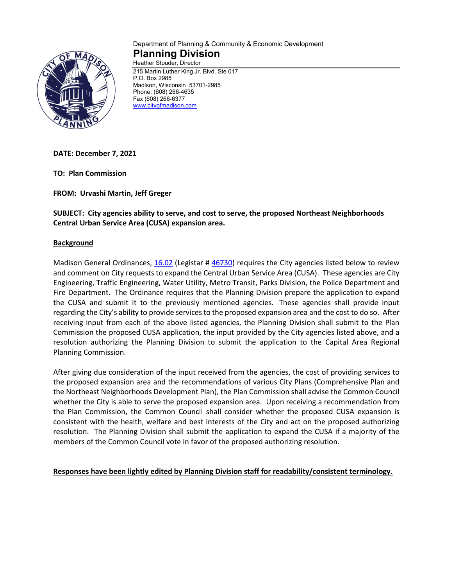

#### Department of Planning & Community & Economic Development **Planning Division** Heather Stouder, Director

215 Martin Luther King Jr. Blvd. Ste 017 P.O. Box 2985 Madison, Wisconsin 53701-2985 Phone: (608) 266-4635 Fax (608) 266-6377 [www.cityofmadison.com](http://www.cityofmadison.com/)

**DATE: December 7, 2021**

**TO: Plan Commission**

**FROM: Urvashi Martin, Jeff Greger**

**SUBJECT: City agencies ability to serve, and cost to serve, the proposed Northeast Neighborhoods Central Urban Service Area (CUSA) expansion area.**

## **Background**

Madison General Ordinances, [16.02](https://library.municode.com/wi/madison/codes/code_of_ordinances?nodeId=COORMAWIVOIICH11--19_CH16GEPL_16.02CEURSEAREX) (Legistar # [46730\)](https://madison.legistar.com/LegislationDetail.aspx?ID=3018710&GUID=AC9FF672-2F21-4853-8347-D5055B8068E7&Options=ID|Text|&Search=46730) requires the City agencies listed below to review and comment on City requests to expand the Central Urban Service Area (CUSA). These agencies are City Engineering, Traffic Engineering, Water Utility, Metro Transit, Parks Division, the Police Department and Fire Department. The Ordinance requires that the Planning Division prepare the application to expand the CUSA and submit it to the previously mentioned agencies. These agencies shall provide input regarding the City's ability to provide services to the proposed expansion area and the cost to do so. After receiving input from each of the above listed agencies, the Planning Division shall submit to the Plan Commission the proposed CUSA application, the input provided by the City agencies listed above, and a resolution authorizing the Planning Division to submit the application to the Capital Area Regional Planning Commission.

After giving due consideration of the input received from the agencies, the cost of providing services to the proposed expansion area and the recommendations of various City Plans (Comprehensive Plan and the Northeast Neighborhoods Development Plan), the Plan Commission shall advise the Common Council whether the City is able to serve the proposed expansion area. Upon receiving a recommendation from the Plan Commission, the Common Council shall consider whether the proposed CUSA expansion is consistent with the health, welfare and best interests of the City and act on the proposed authorizing resolution. The Planning Division shall submit the application to expand the CUSA if a majority of the members of the Common Council vote in favor of the proposed authorizing resolution.

**Responses have been lightly edited by Planning Division staff for readability/consistent terminology.**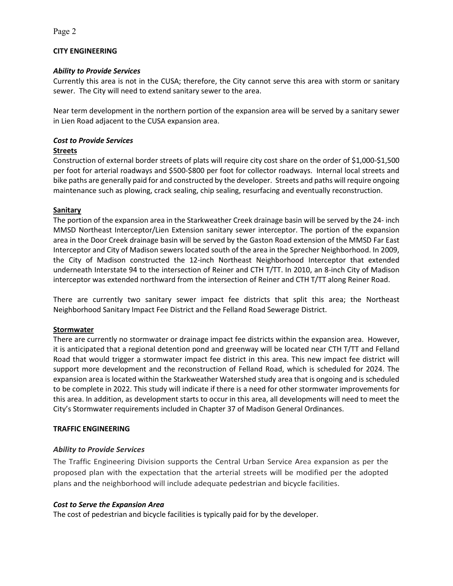# **CITY ENGINEERING**

## *Ability to Provide Services*

Currently this area is not in the CUSA; therefore, the City cannot serve this area with storm or sanitary sewer. The City will need to extend sanitary sewer to the area.

Near term development in the northern portion of the expansion area will be served by a sanitary sewer in Lien Road adjacent to the CUSA expansion area.

# *Cost to Provide Services*

## **Streets**

Construction of external border streets of plats will require city cost share on the order of \$1,000-\$1,500 per foot for arterial roadways and \$500-\$800 per foot for collector roadways. Internal local streets and bike paths are generally paid for and constructed by the developer. Streets and paths will require ongoing maintenance such as plowing, crack sealing, chip sealing, resurfacing and eventually reconstruction.

## **Sanitary**

The portion of the expansion area in the Starkweather Creek drainage basin will be served by the 24- inch MMSD Northeast Interceptor/Lien Extension sanitary sewer interceptor. The portion of the expansion area in the Door Creek drainage basin will be served by the Gaston Road extension of the MMSD Far East Interceptor and City of Madison sewers located south of the area in the Sprecher Neighborhood. In 2009, the City of Madison constructed the 12-inch Northeast Neighborhood Interceptor that extended underneath Interstate 94 to the intersection of Reiner and CTH T/TT. In 2010, an 8-inch City of Madison interceptor was extended northward from the intersection of Reiner and CTH T/TT along Reiner Road.

There are currently two sanitary sewer impact fee districts that split this area; the Northeast Neighborhood Sanitary Impact Fee District and the Felland Road Sewerage District.

## **Stormwater**

There are currently no stormwater or drainage impact fee districts within the expansion area. However, it is anticipated that a regional detention pond and greenway will be located near CTH T/TT and Felland Road that would trigger a stormwater impact fee district in this area. This new impact fee district will support more development and the reconstruction of Felland Road, which is scheduled for 2024. The expansion area is located within the Starkweather Watershed study area that is ongoing and is scheduled to be complete in 2022. This study will indicate if there is a need for other stormwater improvements for this area. In addition, as development starts to occur in this area, all developments will need to meet the City's Stormwater requirements included in Chapter 37 of Madison General Ordinances.

## **TRAFFIC ENGINEERING**

## *Ability to Provide Services*

The Traffic Engineering Division supports the Central Urban Service Area expansion as per the proposed plan with the expectation that the arterial streets will be modified per the adopted plans and the neighborhood will include adequate pedestrian and bicycle facilities.

## *Cost to Serve the Expansion Area*

The cost of pedestrian and bicycle facilities is typically paid for by the developer.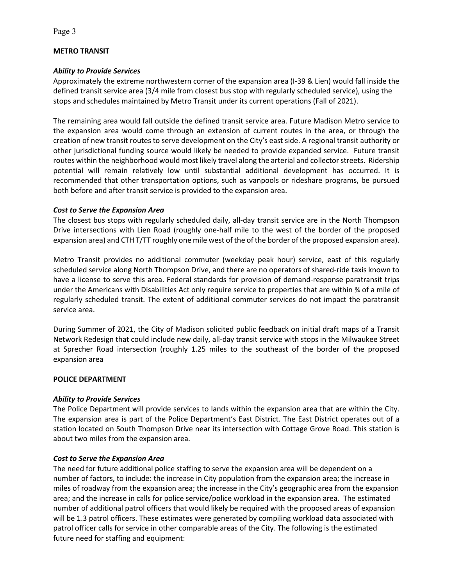## **METRO TRANSIT**

## *Ability to Provide Services*

Approximately the extreme northwestern corner of the expansion area (I-39 & Lien) would fall inside the defined transit service area (3/4 mile from closest bus stop with regularly scheduled service), using the stops and schedules maintained by Metro Transit under its current operations (Fall of 2021).

The remaining area would fall outside the defined transit service area. Future Madison Metro service to the expansion area would come through an extension of current routes in the area, or through the creation of new transit routes to serve development on the City's east side. A regional transit authority or other jurisdictional funding source would likely be needed to provide expanded service. Future transit routes within the neighborhood would most likely travel along the arterial and collector streets. Ridership potential will remain relatively low until substantial additional development has occurred. It is recommended that other transportation options, such as vanpools or rideshare programs, be pursued both before and after transit service is provided to the expansion area.

## *Cost to Serve the Expansion Area*

The closest bus stops with regularly scheduled daily, all-day transit service are in the North Thompson Drive intersections with Lien Road (roughly one-half mile to the west of the border of the proposed expansion area) and CTH T/TT roughly one mile west of the of the border of the proposed expansion area).

Metro Transit provides no additional commuter (weekday peak hour) service, east of this regularly scheduled service along North Thompson Drive, and there are no operators of shared-ride taxis known to have a license to serve this area. Federal standards for provision of demand-response paratransit trips under the Americans with Disabilities Act only require service to properties that are within ¾ of a mile of regularly scheduled transit. The extent of additional commuter services do not impact the paratransit service area.

During Summer of 2021, the City of Madison solicited public feedback on initial draft maps of a Transit Network Redesign that could include new daily, all-day transit service with stops in the Milwaukee Street at Sprecher Road intersection (roughly 1.25 miles to the southeast of the border of the proposed expansion area

## **POLICE DEPARTMENT**

## *Ability to Provide Services*

The Police Department will provide services to lands within the expansion area that are within the City. The expansion area is part of the Police Department's East District. The East District operates out of a station located on South Thompson Drive near its intersection with Cottage Grove Road. This station is about two miles from the expansion area.

## *Cost to Serve the Expansion Area*

The need for future additional police staffing to serve the expansion area will be dependent on a number of factors, to include: the increase in City population from the expansion area; the increase in miles of roadway from the expansion area; the increase in the City's geographic area from the expansion area; and the increase in calls for police service/police workload in the expansion area. The estimated number of additional patrol officers that would likely be required with the proposed areas of expansion will be 1.3 patrol officers. These estimates were generated by compiling workload data associated with patrol officer calls for service in other comparable areas of the City. The following is the estimated future need for staffing and equipment: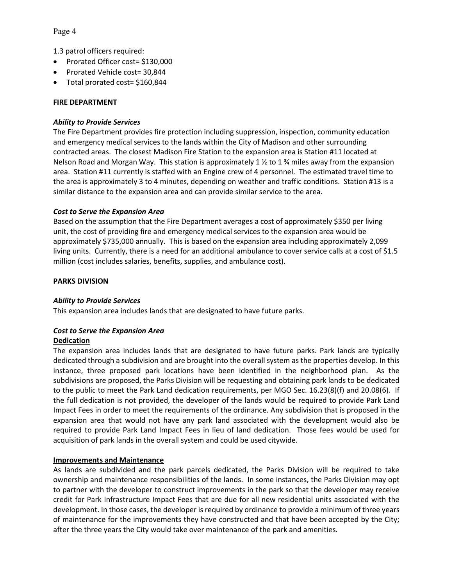Page 4

1.3 patrol officers required:

- Prorated Officer cost= \$130,000
- Prorated Vehicle cost= 30,844
- Total prorated cost= \$160,844

#### **FIRE DEPARTMENT**

#### *Ability to Provide Services*

The Fire Department provides fire protection including suppression, inspection, community education and emergency medical services to the lands within the City of Madison and other surrounding contracted areas. The closest Madison Fire Station to the expansion area is Station #11 located at Nelson Road and Morgan Way. This station is approximately 1  $\frac{1}{2}$  to 1  $\frac{3}{4}$  miles away from the expansion area. Station #11 currently is staffed with an Engine crew of 4 personnel. The estimated travel time to the area is approximately 3 to 4 minutes, depending on weather and traffic conditions. Station #13 is a similar distance to the expansion area and can provide similar service to the area.

#### *Cost to Serve the Expansion Area*

Based on the assumption that the Fire Department averages a cost of approximately \$350 per living unit, the cost of providing fire and emergency medical services to the expansion area would be approximately \$735,000 annually. This is based on the expansion area including approximately 2,099 living units. Currently, there is a need for an additional ambulance to cover service calls at a cost of \$1.5 million (cost includes salaries, benefits, supplies, and ambulance cost).

#### **PARKS DIVISION**

## *Ability to Provide Services*

This expansion area includes lands that are designated to have future parks.

## *Cost to Serve the Expansion Area*

#### **Dedication**

The expansion area includes lands that are designated to have future parks. Park lands are typically dedicated through a subdivision and are brought into the overall system as the properties develop. In this instance, three proposed park locations have been identified in the neighborhood plan. As the subdivisions are proposed, the Parks Division will be requesting and obtaining park lands to be dedicated to the public to meet the Park Land dedication requirements, per MGO Sec. 16.23(8)(f) and 20.08(6). If the full dedication is not provided, the developer of the lands would be required to provide Park Land Impact Fees in order to meet the requirements of the ordinance. Any subdivision that is proposed in the expansion area that would not have any park land associated with the development would also be required to provide Park Land Impact Fees in lieu of land dedication. Those fees would be used for acquisition of park lands in the overall system and could be used citywide.

## **Improvements and Maintenance**

As lands are subdivided and the park parcels dedicated, the Parks Division will be required to take ownership and maintenance responsibilities of the lands. In some instances, the Parks Division may opt to partner with the developer to construct improvements in the park so that the developer may receive credit for Park Infrastructure Impact Fees that are due for all new residential units associated with the development. In those cases, the developer is required by ordinance to provide a minimum of three years of maintenance for the improvements they have constructed and that have been accepted by the City; after the three years the City would take over maintenance of the park and amenities.